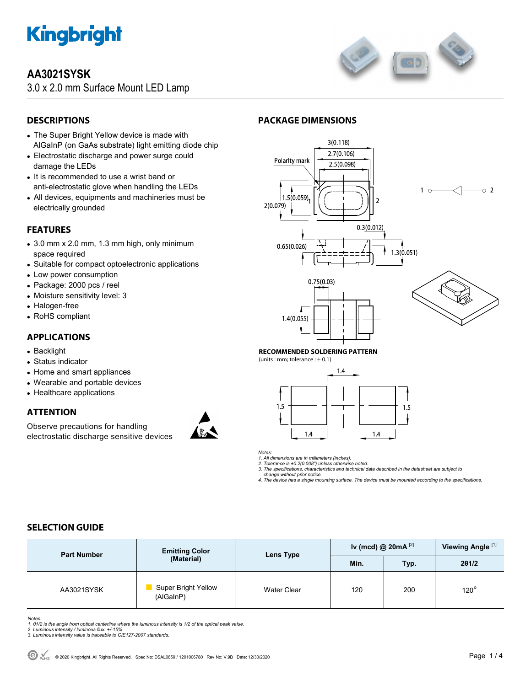

# **AA3021SYSK**

3.0 x 2.0 mm Surface Mount LED Lamp



# **DESCRIPTIONS**

- The Super Bright Yellow device is made with AlGaInP (on GaAs substrate) light emitting diode chip
- Electrostatic discharge and power surge could damage the LEDs
- It is recommended to use a wrist band or anti-electrostatic glove when handling the LEDs
- All devices, equipments and machineries must be electrically grounded

# **FEATURES**

- 3.0 mm x 2.0 mm, 1.3 mm high, only minimum space required
- Suitable for compact optoelectronic applications
- Low power consumption
- Package: 2000 pcs / reel
- Moisture sensitivity level: 3
- Halogen-free
- RoHS compliant

# **APPLICATIONS**

- Backlight
- Status indicator
- Home and smart appliances
- Wearable and portable devices
- Healthcare applications

## **ATTENTION**

Observe precautions for handling electrostatic discharge sensitive devices







#### **RECOMMENDED SOLDERING PATTERN**

(units : mm; tolerance :  $\pm$  0.1)



*Notes:* 

*1. All dimensions are in millimeters (inches). 2. Tolerance is ±0.2(0.008") unless otherwise noted.* 

*3. The specifications, characteristics and technical data described in the datasheet are subject to* 

 *change without prior notice. 4. The device has a single mounting surface. The device must be mounted according to the specifications.* 

# **SELECTION GUIDE**

| <b>Part Number</b> | <b>Emitting Color</b><br>(Material)     | Lens Type          | Iv (mcd) @ $20mA^{[2]}$ |      | Viewing Angle <sup>[1]</sup> |
|--------------------|-----------------------------------------|--------------------|-------------------------|------|------------------------------|
|                    |                                         |                    | Min.                    | Typ. | 201/2                        |
| AA3021SYSK         | <b>Super Bright Yellow</b><br>(AlGaInP) | <b>Water Clear</b> | 120                     | 200  | $120^\circ$                  |

Notes:<br>1. 81/2 is the angle from optical centerline where the luminous intensity is 1/2 of the optical peak value.<br>2. Luminous intensity / luminous flux: +/-15%.<br>3. Luminous intensity value is traceable to CIE127-2007 stan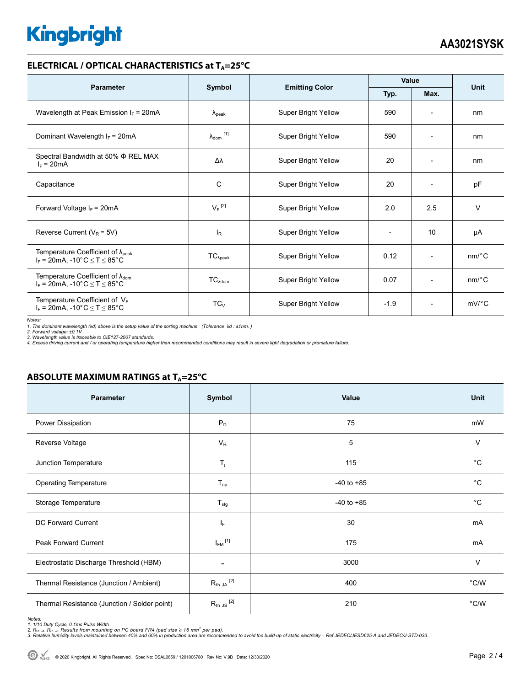# **Kingbright**

### **ELECTRICAL / OPTICAL CHARACTERISTICS at T<sub>A</sub>=25°C**

| <b>Parameter</b>                                                                             |                      |                            | Value        |                          | <b>Unit</b>           |
|----------------------------------------------------------------------------------------------|----------------------|----------------------------|--------------|--------------------------|-----------------------|
|                                                                                              | Symbol               | <b>Emitting Color</b>      | Typ.<br>Max. |                          |                       |
| Wavelength at Peak Emission $I_F$ = 20mA                                                     | $\lambda_{\rm peak}$ | Super Bright Yellow        | 590          |                          | nm                    |
| Dominant Wavelength $I_F = 20mA$                                                             | $\lambda_{dom}$ [1]  | Super Bright Yellow        | 590          | $\overline{\phantom{a}}$ | nm                    |
| Spectral Bandwidth at 50% $\Phi$ REL MAX<br>$I_F = 20mA$                                     | Δλ                   | Super Bright Yellow        | 20           | $\overline{a}$           | nm                    |
| Capacitance                                                                                  | C                    | <b>Super Bright Yellow</b> | 20           |                          | pF                    |
| Forward Voltage $I_F$ = 20mA                                                                 | $V_F$ <sup>[2]</sup> | Super Bright Yellow        | 2.0          | 2.5                      | $\vee$                |
| Reverse Current ( $V_R$ = 5V)                                                                | <sub>lR</sub>        | Super Bright Yellow        |              | 10                       | μA                    |
| Temperature Coefficient of $\lambda_{\text{peak}}$<br>$I_F = 20mA$ , -10°C $\le T \le 85$ °C | $TC_{\lambda peak}$  | Super Bright Yellow        | 0.12         | $\overline{\phantom{a}}$ | $nm$ <sup>o</sup> $C$ |
| Temperature Coefficient of $\lambda_{\text{dom}}$<br>$I_F = 20$ mA, -10°C $\le T \le 85$ °C  | $TC_{\lambda dom}$   | Super Bright Yellow        | 0.07         | $\overline{\phantom{a}}$ | $nm$ /°C              |
| Temperature Coefficient of $V_F$<br>$I_F$ = 20mA, -10°C $\leq T \leq 85$ °C                  | $TC_{V}$             | Super Bright Yellow        | $-1.9$       | $\overline{\phantom{a}}$ | $mV$ °C               |

*Notes:* 

1. The dominant wavelength (λd) above is the setup value of the sorting machine. (Tolerance λd : ±1nm. )<br>2. Forward voltage: ±0.1V.<br>3. Wavelength value is traceable to CIE127-2007 standards.<br>4. Excess driving current and

### **ABSOLUTE MAXIMUM RATINGS at T<sub>A</sub>=25°C**

| <b>Parameter</b>                             | Symbol                      | Value          | <b>Unit</b>    |
|----------------------------------------------|-----------------------------|----------------|----------------|
| Power Dissipation                            | $P_D$                       | 75             | mW             |
| Reverse Voltage                              | $V_R$                       | 5              | V              |
| Junction Temperature                         | $T_j$                       | 115            | $^{\circ}C$    |
| <b>Operating Temperature</b>                 | $T_{op}$                    | $-40$ to $+85$ | $^{\circ}C$    |
| Storage Temperature                          | $T_{\text{stg}}$            | $-40$ to $+85$ | $^{\circ}C$    |
| DC Forward Current                           | IF.                         | 30             | mA             |
| <b>Peak Forward Current</b>                  | $I_{FM}$ <sup>[1]</sup>     | 175            | mA             |
| Electrostatic Discharge Threshold (HBM)      | $\overline{\phantom{a}}$    | 3000           | V              |
| Thermal Resistance (Junction / Ambient)      | $R_{\text{th JA}}$ $^{[2]}$ | 400            | $^{\circ}$ C/W |
| Thermal Resistance (Junction / Solder point) | $R_{th}$ JS $^{[2]}$        | 210            | °C/W           |

Notes:<br>1. 1/10 Duty Cycle, 0.1ms Pulse Width.<br>2. R<sub>th JA</sub> ,R<sub>th JS</sub> Results from mounting on PC board FR4 (pad size ≥ 16 mm<sup>2</sup> per pad).<br>3. Relative humidity levels maintained between 40% and 60% in production area are re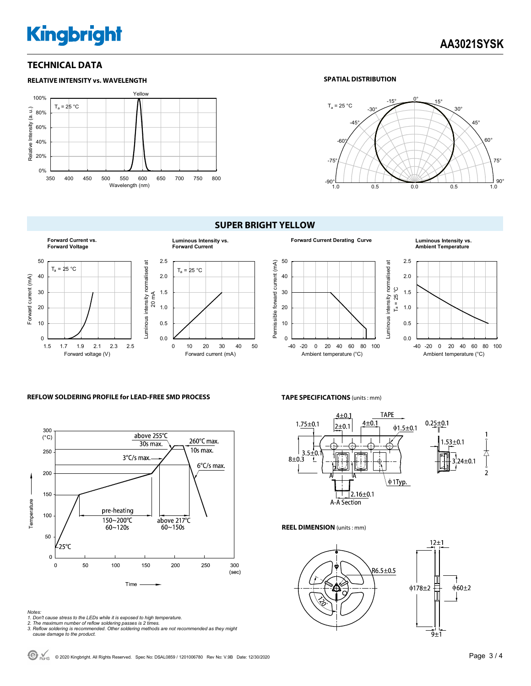# **Kingbright**

## **TECHNICAL DATA**



#### **SPATIAL DISTRIBUTION**



#### **SUPER BRIGHT YELLOW**









#### **REFLOW SOLDERING PROFILE for LEAD-FREE SMD PROCESS**



#### **TAPE SPECIFICATIONS** (units : mm)



#### **REEL DIMENSION** (units : mm)



*Notes:* 

- *1. Don't cause stress to the LEDs while it is exposed to high temperature.*
- 

*2. The maximum number of reflow soldering passes is 2 times. 3. Reflow soldering is recommended. Other soldering methods are not recommended as they might cause damage to the product.*